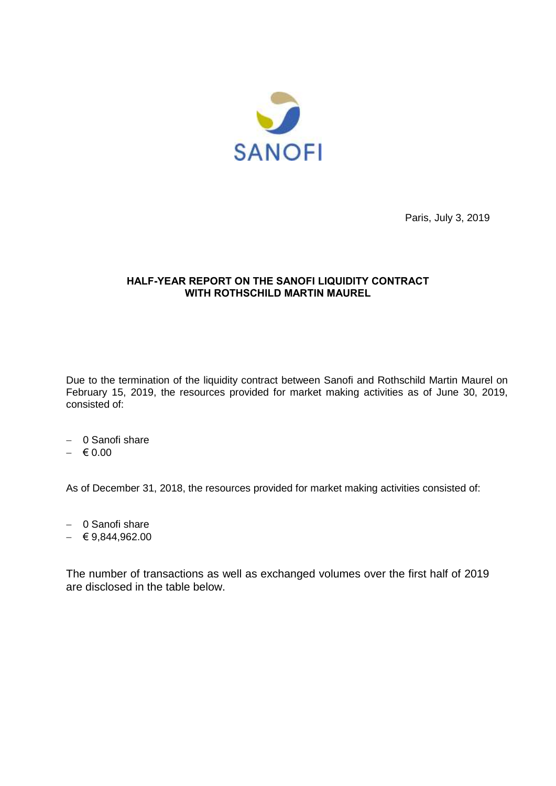

Paris, July 3, 2019

## **HALF-YEAR REPORT ON THE SANOFI LIQUIDITY CONTRACT WITH ROTHSCHILD MARTIN MAUREL**

Due to the termination of the liquidity contract between Sanofi and Rothschild Martin Maurel on February 15, 2019, the resources provided for market making activities as of June 30, 2019, consisted of:

- 0 Sanofi share
- $-$  € 0.00

As of December 31, 2018, the resources provided for market making activities consisted of:

- 0 Sanofi share
- $-$  € 9,844,962.00

The number of transactions as well as exchanged volumes over the first half of 2019 are disclosed in the table below.